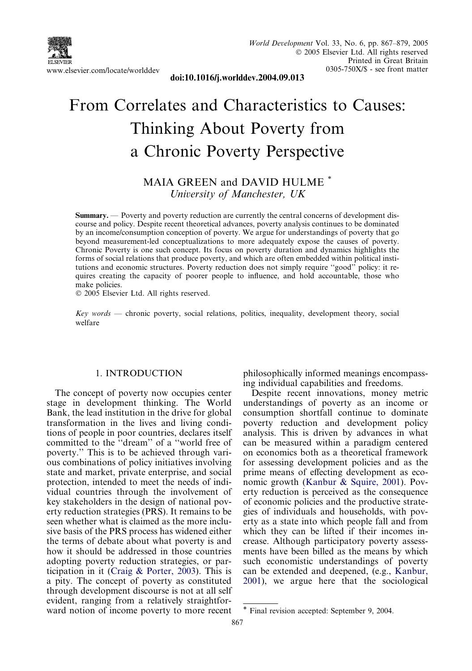**FI SEVIER** www.elsevier.com/locate/worlddev

# From Correlates and Characteristics to Causes: Thinking About Poverty from a Chronic Poverty Perspective

# MAIA GREEN and DAVID HULME \* University of Manchester, UK

Summary. — Poverty and poverty reduction are currently the central concerns of development discourse and policy. Despite recent theoretical advances, poverty analysis continues to be dominated by an income/consumption conception of poverty. We argue for understandings of poverty that go beyond measurement-led conceptualizations to more adequately expose the causes of poverty. Chronic Poverty is one such concept. Its focus on poverty duration and dynamics highlights the forms of social relations that produce poverty, and which are often embedded within political institutions and economic structures. Poverty reduction does not simply require ''good'' policy: it requires creating the capacity of poorer people to influence, and hold accountable, those who make policies.

2005 Elsevier Ltd. All rights reserved.

 $Key words$  — chronic poverty, social relations, politics, inequality, development theory, social welfare

#### 1. INTRODUCTION

The concept of poverty now occupies center stage in development thinking. The World Bank, the lead institution in the drive for global transformation in the lives and living conditions of people in poor countries, declares itself committed to the ''dream'' of a ''world free of poverty.'' This is to be achieved through various combinations of policy initiatives involving state and market, private enterprise, and social protection, intended to meet the needs of individual countries through the involvement of key stakeholders in the design of national poverty reduction strategies (PRS). It remains to be seen whether what is claimed as the more inclusive basis of the PRS process has widened either the terms of debate about what poverty is and how it should be addressed in those countries adopting poverty reduction strategies, or participation in it ([Craig & Porter, 2003](#page-11-0)). This is a pity. The concept of poverty as constituted through development discourse is not at all self evident, ranging from a relatively straightforward notion of income poverty to more recent

philosophically informed meanings encompassing individual capabilities and freedoms.

Despite recent innovations, money metric understandings of poverty as an income or consumption shortfall continue to dominate poverty reduction and development policy analysis. This is driven by advances in what can be measured within a paradigm centered on economics both as a theoretical framework for assessing development policies and as the prime means of effecting development as economic growth [\(Kanbur & Squire, 2001](#page-12-0)). Poverty reduction is perceived as the consequence of economic policies and the productive strategies of individuals and households, with poverty as a state into which people fall and from which they can be lifted if their incomes increase. Although participatory poverty assessments have been billed as the means by which such economistic understandings of poverty can be extended and deepened, (e.g., [Kanbur,](#page-12-0) [2001](#page-12-0)), we argue here that the sociological

<sup>\*</sup> Final revision accepted: September 9, 2004.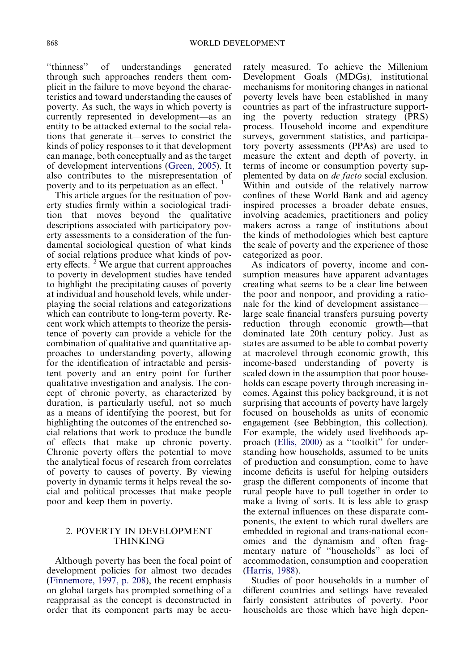''thinness'' of understandings generated through such approaches renders them complicit in the failure to move beyond the characteristics and toward understanding the causes of poverty. As such, the ways in which poverty is currently represented in development—as an entity to be attacked external to the social relations that generate it—serves to constrict the kinds of policy responses to it that development can manage, both conceptually and as the target of development interventions ([Green, 2005\)](#page-11-0). It also contributes to the misrepresentation of poverty and to its perpetuation as an effect.  $\frac{1}{1}$ 

This article argues for the resituation of poverty studies firmly within a sociological tradition that moves beyond the qualitative descriptions associated with participatory poverty assessments to a consideration of the fundamental sociological question of what kinds of social relations produce what kinds of poverty effects.  $2$  We argue that current approaches to poverty in development studies have tended to highlight the precipitating causes of poverty at individual and household levels, while underplaying the social relations and categorizations which can contribute to long-term poverty. Recent work which attempts to theorize the persistence of poverty can provide a vehicle for the combination of qualitative and quantitative approaches to understanding poverty, allowing for the identification of intractable and persistent poverty and an entry point for further qualitative investigation and analysis. The concept of chronic poverty, as characterized by duration, is particularly useful, not so much as a means of identifying the poorest, but for highlighting the outcomes of the entrenched social relations that work to produce the bundle of effects that make up chronic poverty. Chronic poverty offers the potential to move the analytical focus of research from correlates of poverty to causes of poverty. By viewing poverty in dynamic terms it helps reveal the social and political processes that make people poor and keep them in poverty.

# 2. POVERTY IN DEVELOPMENT THINKING

Although poverty has been the focal point of development policies for almost two decades [\(Finnemore, 1997, p. 208\)](#page-11-0), the recent emphasis on global targets has prompted something of a reappraisal as the concept is deconstructed in order that its component parts may be accu-

rately measured. To achieve the Millenium Development Goals (MDGs), institutional mechanisms for monitoring changes in national poverty levels have been established in many countries as part of the infrastructure supporting the poverty reduction strategy (PRS) process. Household income and expenditure surveys, government statistics, and participatory poverty assessments (PPAs) are used to measure the extent and depth of poverty, in terms of income or consumption poverty supplemented by data on *de facto* social exclusion. Within and outside of the relatively narrow confines of these World Bank and aid agency inspired processes a broader debate ensues, involving academics, practitioners and policy makers across a range of institutions about the kinds of methodologies which best capture the scale of poverty and the experience of those categorized as poor.

As indicators of poverty, income and consumption measures have apparent advantages creating what seems to be a clear line between the poor and nonpoor, and providing a rationale for the kind of development assistance large scale financial transfers pursuing poverty reduction through economic growth—that dominated late 20th century policy. Just as states are assumed to be able to combat poverty at macrolevel through economic growth, this income-based understanding of poverty is scaled down in the assumption that poor households can escape poverty through increasing incomes. Against this policy background, it is not surprising that accounts of poverty have largely focused on households as units of economic engagement (see Bebbington, this collection). For example, the widely used livelihoods approach ([Ellis, 2000](#page-11-0)) as a ''toolkit'' for understanding how households, assumed to be units of production and consumption, come to have income deficits is useful for helping outsiders grasp the different components of income that rural people have to pull together in order to make a living of sorts. It is less able to grasp the external influences on these disparate components, the extent to which rural dwellers are embedded in regional and trans-national economies and the dynamism and often fragmentary nature of ''households'' as loci of accommodation, consumption and cooperation ([Harris, 1988](#page-11-0)).

Studies of poor households in a number of different countries and settings have revealed fairly consistent attributes of poverty. Poor households are those which have high depen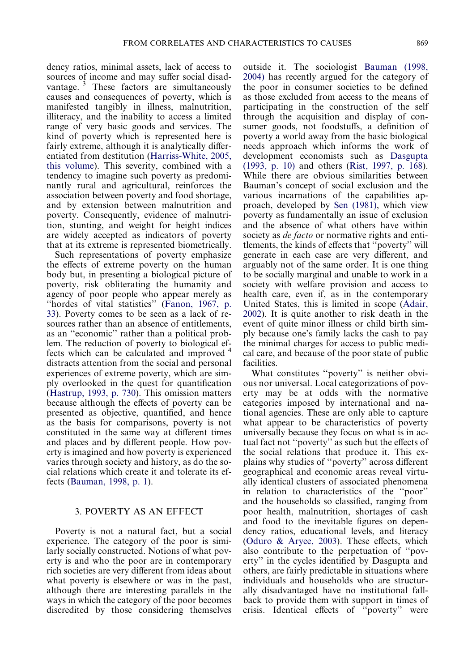dency ratios, minimal assets, lack of access to sources of income and may suffer social disadvantage.<sup>3</sup> These factors are simultaneously causes and consequences of poverty, which is manifested tangibly in illness, malnutrition, illiteracy, and the inability to access a limited range of very basic goods and services. The kind of poverty which is represented here is fairly extreme, although it is analytically differentiated from destitution [\(Harriss-White, 2005,](#page-11-0) [this volume](#page-11-0)). This severity, combined with a tendency to imagine such poverty as predominantly rural and agricultural, reinforces the association between poverty and food shortage, and by extension between malnutrition and poverty. Consequently, evidence of malnutrition, stunting, and weight for height indices are widely accepted as indicators of poverty that at its extreme is represented biometrically.

Such representations of poverty emphasize the effects of extreme poverty on the human body but, in presenting a biological picture of poverty, risk obliterating the humanity and agency of poor people who appear merely as "hordes of vital statistics" [\(Fanon, 1967, p.](#page-11-0) [33\)](#page-11-0). Poverty comes to be seen as a lack of resources rather than an absence of entitlements, as an ''economic'' rather than a political problem. The reduction of poverty to biological effects which can be calculated and improved <sup>4</sup> distracts attention from the social and personal experiences of extreme poverty, which are simply overlooked in the quest for quantification [\(Hastrup, 1993, p. 730](#page-11-0)). This omission matters because although the effects of poverty can be presented as objective, quantified, and hence as the basis for comparisons, poverty is not constituted in the same way at different times and places and by different people. How poverty is imagined and how poverty is experienced varies through society and history, as do the social relations which create it and tolerate its effects ([Bauman, 1998, p. 1\)](#page-11-0).

## 3. POVERTY AS AN EFFECT

Poverty is not a natural fact, but a social experience. The category of the poor is similarly socially constructed. Notions of what poverty is and who the poor are in contemporary rich societies are very different from ideas about what poverty is elsewhere or was in the past, although there are interesting parallels in the ways in which the category of the poor becomes discredited by those considering themselves

outside it. The sociologist [Bauman \(1998,](#page-11-0) [2004\)](#page-11-0) has recently argued for the category of the poor in consumer societies to be defined as those excluded from access to the means of participating in the construction of the self through the acquisition and display of consumer goods, not foodstuffs, a definition of poverty a world away from the basic biological needs approach which informs the work of development economists such as [Dasgupta](#page-11-0) [\(1993, p. 10\)](#page-11-0) and others [\(Rist, 1997, p. 168\)](#page-12-0). While there are obvious similarities between Bauman's concept of social exclusion and the various incarnations of the capabilities approach, developed by [Sen \(1981\)](#page-12-0), which view poverty as fundamentally an issue of exclusion and the absence of what others have within society as *de facto* or normative rights and entitlements, the kinds of effects that ''poverty'' will generate in each case are very different, and arguably not of the same order. It is one thing to be socially marginal and unable to work in a society with welfare provision and access to health care, even if, as in the contemporary United States, this is limited in scope ([Adair,](#page-11-0) [2002](#page-11-0)). It is quite another to risk death in the event of quite minor illness or child birth simply because one's family lacks the cash to pay the minimal charges for access to public medical care, and because of the poor state of public facilities.

What constitutes ''poverty'' is neither obvious nor universal. Local categorizations of poverty may be at odds with the normative categories imposed by international and national agencies. These are only able to capture what appear to be characteristics of poverty universally because they focus on what is in actual fact not ''poverty'' as such but the effects of the social relations that produce it. This explains why studies of ''poverty'' across different geographical and economic areas reveal virtually identical clusters of associated phenomena in relation to characteristics of the ''poor'' and the households so classified, ranging from poor health, malnutrition, shortages of cash and food to the inevitable figures on dependency ratios, educational levels, and literacy ([Oduro & Aryee, 2003](#page-12-0)). These effects, which also contribute to the perpetuation of ''poverty'' in the cycles identified by Dasgupta and others, are fairly predictable in situations where individuals and households who are structurally disadvantaged have no institutional fallback to provide them with support in times of crisis. Identical effects of ''poverty'' were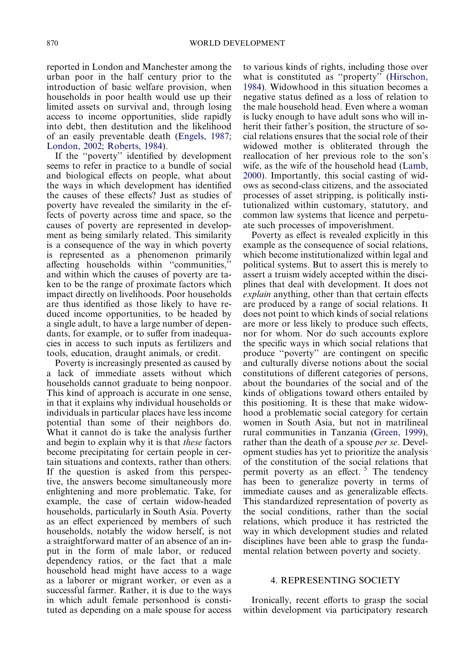reported in London and Manchester among the urban poor in the half century prior to the introduction of basic welfare provision, when households in poor health would use up their limited assets on survival and, through losing access to income opportunities, slide rapidly into debt, then destitution and the likelihood of an easily preventable death [\(Engels, 1987;](#page-11-0) [London, 2002](#page-12-0); [Roberts, 1984\)](#page-12-0).

If the ''poverty'' identified by development seems to refer in practice to a bundle of social and biological effects on people, what about the ways in which development has identified the causes of these effects? Just as studies of poverty have revealed the similarity in the effects of poverty across time and space, so the causes of poverty are represented in development as being similarly related. This similarity is a consequence of the way in which poverty is represented as a phenomenon primarily affecting households within ''communities,'' and within which the causes of poverty are taken to be the range of proximate factors which impact directly on livelihoods. Poor households are thus identified as those likely to have reduced income opportunities, to be headed by a single adult, to have a large number of dependants, for example, or to suffer from inadequacies in access to such inputs as fertilizers and tools, education, draught animals, or credit.

Poverty is increasingly presented as caused by a lack of immediate assets without which households cannot graduate to being nonpoor. This kind of approach is accurate in one sense, in that it explains why individual households or individuals in particular places have less income potential than some of their neighbors do. What it cannot do is take the analysis further and begin to explain why it is that these factors become precipitating for certain people in certain situations and contexts, rather than others. If the question is asked from this perspective, the answers become simultaneously more enlightening and more problematic. Take, for example, the case of certain widow-headed households, particularly in South Asia. Poverty as an effect experienced by members of such households, notably the widow herself, is not a straightforward matter of an absence of an input in the form of male labor, or reduced dependency ratios, or the fact that a male household head might have access to a wage as a laborer or migrant worker, or even as a successful farmer. Rather, it is due to the ways in which adult female personhood is constituted as depending on a male spouse for access

to various kinds of rights, including those over what is constituted as "property" ([Hirschon,](#page-11-0) [1984](#page-11-0)). Widowhood in this situation becomes a negative status defined as a loss of relation to the male household head. Even where a woman is lucky enough to have adult sons who will inherit their father's position, the structure of social relations ensures that the social role of their widowed mother is obliterated through the reallocation of her previous role to the son's wife, as the wife of the household head [\(Lamb,](#page-12-0) [2000](#page-12-0)). Importantly, this social casting of widows as second-class citizens, and the associated processes of asset stripping, is politically institutionalized within customary, statutory, and common law systems that licence and perpetuate such processes of impoverishment.

Poverty as effect is revealed explicitly in this example as the consequence of social relations, which become institutionalized within legal and political systems. But to assert this is merely to assert a truism widely accepted within the disciplines that deal with development. It does not explain anything, other than that certain effects are produced by a range of social relations. It does not point to which kinds of social relations are more or less likely to produce such effects, nor for whom. Nor do such accounts explore the specific ways in which social relations that produce ''poverty'' are contingent on specific and culturally diverse notions about the social constitutions of different categories of persons, about the boundaries of the social and of the kinds of obligations toward others entailed by this positioning. It is these that make widowhood a problematic social category for certain women in South Asia, but not in matrilineal rural communities in Tanzania ([Green, 1999\)](#page-11-0), rather than the death of a spouse *per se*. Development studies has yet to prioritize the analysis of the constitution of the social relations that permit poverty as an effect.  $5$  The tendency has been to generalize poverty in terms of immediate causes and as generalizable effects. This standardized representation of poverty as the social conditions, rather than the social relations, which produce it has restricted the way in which development studies and related disciplines have been able to grasp the fundamental relation between poverty and society.

## 4. REPRESENTING SOCIETY

Ironically, recent efforts to grasp the social within development via participatory research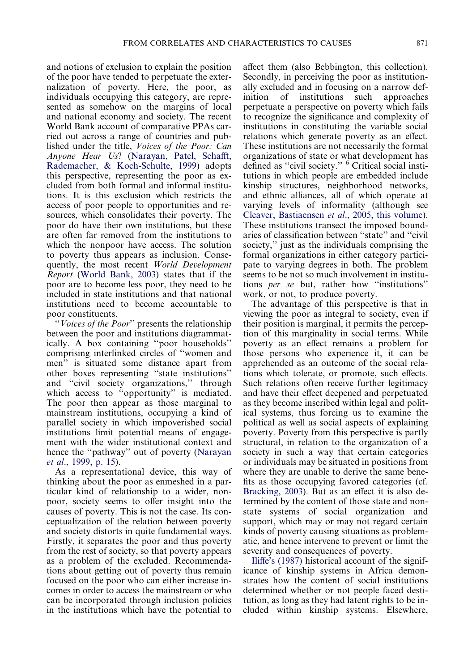and notions of exclusion to explain the position of the poor have tended to perpetuate the externalization of poverty. Here, the poor, as individuals occupying this category, are represented as somehow on the margins of local and national economy and society. The recent World Bank account of comparative PPAs carried out across a range of countries and published under the title, Voices of the Poor: Can Anyone Hear Us? [\(Narayan, Patel, Schafft,](#page-12-0) [Rademacher, & Koch-Schulte, 1999](#page-12-0)) adopts this perspective, representing the poor as excluded from both formal and informal institutions. It is this exclusion which restricts the access of poor people to opportunities and resources, which consolidates their poverty. The poor do have their own institutions, but these are often far removed from the institutions to which the nonpoor have access. The solution to poverty thus appears as inclusion. Consequently, the most recent World Development Report [\(World Bank, 2003](#page-12-0)) states that if the poor are to become less poor, they need to be included in state institutions and that national institutions need to become accountable to poor constituents.

''Voices of the Poor'' presents the relationship between the poor and institutions diagrammatically. A box containing ''poor households'' comprising interlinked circles of ''women and men'' is situated some distance apart from other boxes representing ''state institutions'' and ''civil society organizations,'' through which access to "opportunity" is mediated. The poor then appear as those marginal to mainstream institutions, occupying a kind of parallel society in which impoverished social institutions limit potential means of engagement with the wider institutional context and hence the ''pathway'' out of poverty ([Narayan](#page-12-0) et al[., 1999, p. 15](#page-12-0)).

As a representational device, this way of thinking about the poor as enmeshed in a particular kind of relationship to a wider, nonpoor, society seems to offer insight into the causes of poverty. This is not the case. Its conceptualization of the relation between poverty and society distorts in quite fundamental ways. Firstly, it separates the poor and thus poverty from the rest of society, so that poverty appears as a problem of the excluded. Recommendations about getting out of poverty thus remain focused on the poor who can either increase incomes in order to access the mainstream or who can be incorporated through inclusion policies in the institutions which have the potential to

affect them (also Bebbington, this collection). Secondly, in perceiving the poor as institutionally excluded and in focusing on a narrow definition of institutions such approaches perpetuate a perspective on poverty which fails to recognize the significance and complexity of institutions in constituting the variable social relations which generate poverty as an effect. These institutions are not necessarily the formal organizations of state or what development has defined as ''civil society.'' <sup>6</sup> Critical social institutions in which people are embedded include kinship structures, neighborhood networks, and ethnic alliances, all of which operate at varying levels of informality (although see [Cleaver, Bastiaensen](#page-11-0) et al., 2005, this volume). These institutions transect the imposed boundaries of classification between ''state'' and ''civil society,'' just as the individuals comprising the formal organizations in either category participate to varying degrees in both. The problem seems to be not so much involvement in institutions per se but, rather how ''institutions'' work, or not, to produce poverty.

The advantage of this perspective is that in viewing the poor as integral to society, even if their position is marginal, it permits the perception of this marginality in social terms. While poverty as an effect remains a problem for those persons who experience it, it can be apprehended as an outcome of the social relations which tolerate, or promote, such effects. Such relations often receive further legitimacy and have their effect deepened and perpetuated as they become inscribed within legal and political systems, thus forcing us to examine the political as well as social aspects of explaining poverty. Poverty from this perspective is partly structural, in relation to the organization of a society in such a way that certain categories or individuals may be situated in positions from where they are unable to derive the same benefits as those occupying favored categories (cf. [Bracking, 2003](#page-11-0)). But as an effect it is also determined by the content of those state and nonstate systems of social organization and support, which may or may not regard certain kinds of poverty causing situations as problematic, and hence intervene to prevent or limit the severity and consequences of poverty.

[Iliffe's \(1987\)](#page-11-0) historical account of the significance of kinship systems in Africa demonstrates how the content of social institutions determined whether or not people faced destitution, as long as they had latent rights to be included within kinship systems. Elsewhere,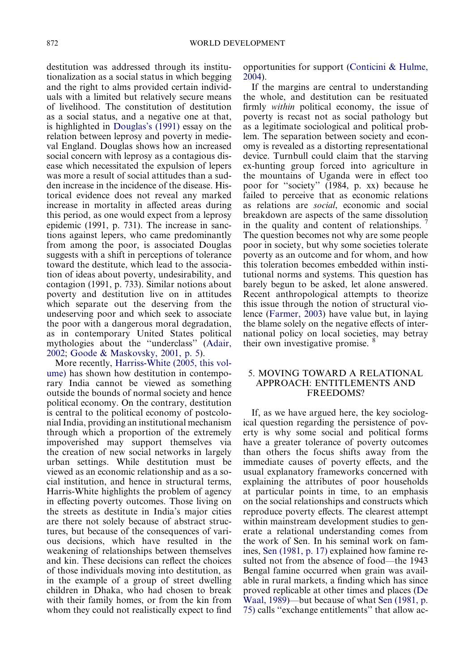destitution was addressed through its institutionalization as a social status in which begging and the right to alms provided certain individuals with a limited but relatively secure means of livelihood. The constitution of destitution as a social status, and a negative one at that, is highlighted in [Douglas's \(1991\)](#page-11-0) essay on the relation between leprosy and poverty in medieval England. Douglas shows how an increased social concern with leprosy as a contagious disease which necessitated the expulsion of lepers was more a result of social attitudes than a sudden increase in the incidence of the disease. Historical evidence does not reveal any marked increase in mortality in affected areas during this period, as one would expect from a leprosy epidemic (1991, p. 731). The increase in sanctions against lepers, who came predominantly from among the poor, is associated Douglas suggests with a shift in perceptions of tolerance toward the destitute, which lead to the association of ideas about poverty, undesirability, and contagion (1991, p. 733). Similar notions about poverty and destitution live on in attitudes which separate out the deserving from the undeserving poor and which seek to associate the poor with a dangerous moral degradation, as in contemporary United States political mythologies about the ''underclass'' [\(Adair,](#page-11-0) [2002](#page-11-0); [Goode & Maskovsky, 2001, p. 5\)](#page-11-0).

More recently, [Harriss-White \(2005, this vol](#page-11-0)[ume\)](#page-11-0) has shown how destitution in contemporary India cannot be viewed as something outside the bounds of normal society and hence political economy. On the contrary, destitution is central to the political economy of postcolonial India, providing an institutional mechanism through which a proportion of the extremely impoverished may support themselves via the creation of new social networks in largely urban settings. While destitution must be viewed as an economic relationship and as a social institution, and hence in structural terms, Harris-White highlights the problem of agency in effecting poverty outcomes. Those living on the streets as destitute in India's major cities are there not solely because of abstract structures, but because of the consequences of various decisions, which have resulted in the weakening of relationships between themselves and kin. These decisions can reflect the choices of those individuals moving into destitution, as in the example of a group of street dwelling children in Dhaka, who had chosen to break with their family homes, or from the kin from whom they could not realistically expect to find

opportunities for support ([Conticini & Hulme,](#page-11-0)  $2004$ ).

If the margins are central to understanding the whole, and destitution can be resituated firmly *within* political economy, the issue of poverty is recast not as social pathology but as a legitimate sociological and political problem. The separation between society and economy is revealed as a distorting representational device. Turnbull could claim that the starving ex-hunting group forced into agriculture in the mountains of Uganda were in effect too poor for ''society'' (1984, p. xx) because he failed to perceive that as economic relations as relations are social, economic and social breakdown are aspects of the same dissolution in the quality and content of relationships. <sup>7</sup> The question becomes not why are some people poor in society, but why some societies tolerate poverty as an outcome and for whom, and how this toleration becomes embedded within institutional norms and systems. This question has barely begun to be asked, let alone answered. Recent anthropological attempts to theorize this issue through the notion of structural violence [\(Farmer, 2003](#page-11-0)) have value but, in laying the blame solely on the negative effects of international policy on local societies, may betray their own investigative promise.  $\delta$ 

# 5. MOVING TOWARD A RELATIONAL APPROACH: ENTITLEMENTS AND FREEDOMS?

If, as we have argued here, the key sociological question regarding the persistence of poverty is why some social and political forms have a greater tolerance of poverty outcomes than others the focus shifts away from the immediate causes of poverty effects, and the usual explanatory frameworks concerned with explaining the attributes of poor households at particular points in time, to an emphasis on the social relationships and constructs which reproduce poverty effects. The clearest attempt within mainstream development studies to generate a relational understanding comes from the work of Sen. In his seminal work on famines, [Sen \(1981, p. 17\)](#page-12-0) explained how famine resulted not from the absence of food—the 1943 Bengal famine occurred when grain was available in rural markets, a finding which has since proved replicable at other times and places ([De](#page-11-0) [Waal, 1989\)](#page-11-0)—but because of what [Sen \(1981, p.](#page-12-0) [75\)](#page-12-0) calls ''exchange entitlements'' that allow ac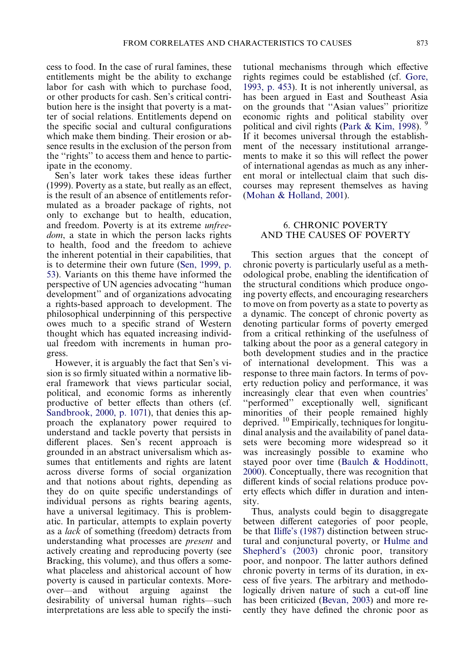cess to food. In the case of rural famines, these entitlements might be the ability to exchange labor for cash with which to purchase food, or other products for cash. Sen's critical contribution here is the insight that poverty is a matter of social relations. Entitlements depend on the specific social and cultural configurations which make them binding. Their erosion or absence results in the exclusion of the person from the ''rights'' to access them and hence to participate in the economy.

Sen's later work takes these ideas further (1999). Poverty as a state, but really as an effect, is the result of an absence of entitlements reformulated as a broader package of rights, not only to exchange but to health, education, and freedom. Poverty is at its extreme unfreedom, a state in which the person lacks rights to health, food and the freedom to achieve the inherent potential in their capabilities, that is to determine their own future [\(Sen, 1999, p.](#page-12-0) [53\)](#page-12-0). Variants on this theme have informed the perspective of UN agencies advocating ''human development'' and of organizations advocating a rights-based approach to development. The philosophical underpinning of this perspective owes much to a specific strand of Western thought which has equated increasing individual freedom with increments in human progress.

However, it is arguably the fact that Sen's vision is so firmly situated within a normative liberal framework that views particular social, political, and economic forms as inherently productive of better effects than others (cf. [Sandbrook, 2000, p. 1071\)](#page-12-0), that denies this approach the explanatory power required to understand and tackle poverty that persists in different places. Sen's recent approach is grounded in an abstract universalism which assumes that entitlements and rights are latent across diverse forms of social organization and that notions about rights, depending as they do on quite specific understandings of individual persons as rights bearing agents, have a universal legitimacy. This is problematic. In particular, attempts to explain poverty as a lack of something (freedom) detracts from understanding what processes are present and actively creating and reproducing poverty (see Bracking, this volume), and thus offers a somewhat placeless and ahistorical account of how poverty is caused in particular contexts. Moreover—and without arguing against the desirability of universal human rights—such interpretations are less able to specify the insti-

tutional mechanisms through which effective rights regimes could be established (cf. [Gore,](#page-11-0) [1993, p. 453\)](#page-11-0). It is not inherently universal, as has been argued in East and Southeast Asia on the grounds that ''Asian values'' prioritize economic rights and political stability over political and civil rights (Park  $& Kim, 1998$ ). If it becomes universal through the establishment of the necessary institutional arrangements to make it so this will reflect the power of international agendas as much as any inherent moral or intellectual claim that such discourses may represent themselves as having ([Mohan & Holland, 2001\)](#page-12-0).

#### 6. CHRONIC POVERTY AND THE CAUSES OF POVERTY

This section argues that the concept of chronic poverty is particularly useful as a methodological probe, enabling the identification of the structural conditions which produce ongoing poverty effects, and encouraging researchers to move on from poverty as a state to poverty as a dynamic. The concept of chronic poverty as denoting particular forms of poverty emerged from a critical rethinking of the usefulness of talking about the poor as a general category in both development studies and in the practice of international development. This was a response to three main factors. In terms of poverty reduction policy and performance, it was increasingly clear that even when countries' ''performed'' exceptionally well, significant minorities of their people remained highly deprived. <sup>10</sup> Empirically, techniques for longitudinal analysis and the availability of panel datasets were becoming more widespread so it was increasingly possible to examine who stayed poor over time ([Baulch & Hoddinott,](#page-11-0) [2000](#page-11-0)). Conceptually, there was recognition that different kinds of social relations produce poverty effects which differ in duration and intensity.

Thus, analysts could begin to disaggregate between different categories of poor people, be that [Iliffe's \(1987\)](#page-11-0) distinction between structural and conjunctural poverty, or [Hulme and](#page-11-0) [Shepherd's \(2003\)](#page-11-0) chronic poor, transitory poor, and nonpoor. The latter authors defined chronic poverty in terms of its duration, in excess of five years. The arbitrary and methodologically driven nature of such a cut-off line has been criticized ([Bevan, 2003\)](#page-11-0) and more recently they have defined the chronic poor as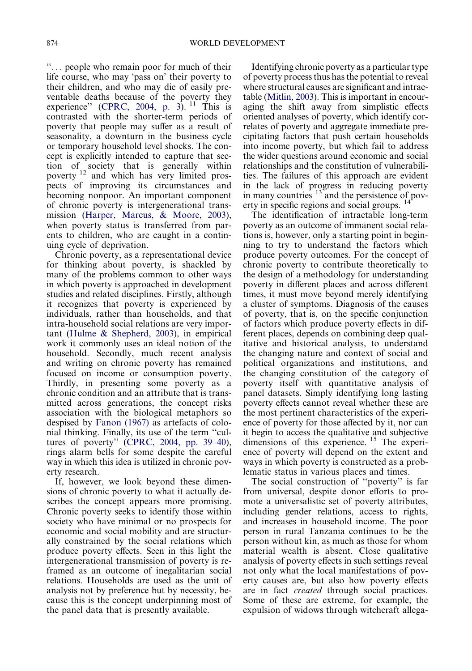''... people who remain poor for much of their life course, who may 'pass on' their poverty to their children, and who may die of easily preventable deaths because of the poverty they experience" (CPRC, 2004, p.  $3$ ). <sup>11</sup> This is contrasted with the shorter-term periods of poverty that people may suffer as a result of seasonality, a downturn in the business cycle or temporary household level shocks. The concept is explicitly intended to capture that section of society that is generally within<br>poverty <sup>12</sup> and which has very limited prospects of improving its circumstances and becoming nonpoor. An important component of chronic poverty is intergenerational transmission [\(Harper, Marcus, & Moore, 2003\)](#page-11-0), when poverty status is transferred from parents to children, who are caught in a continuing cycle of deprivation.

Chronic poverty, as a representational device for thinking about poverty, is shackled by many of the problems common to other ways in which poverty is approached in development studies and related disciplines. Firstly, although it recognizes that poverty is experienced by individuals, rather than households, and that intra-household social relations are very important [\(Hulme & Shepherd, 2003\)](#page-11-0), in empirical work it commonly uses an ideal notion of the household. Secondly, much recent analysis and writing on chronic poverty has remained focused on income or consumption poverty. Thirdly, in presenting some poverty as a chronic condition and an attribute that is transmitted across generations, the concept risks association with the biological metaphors so despised by [Fanon \(1967\)](#page-11-0) as artefacts of colonial thinking. Finally, its use of the term ''cultures of poverty'' ([CPRC, 2004, pp. 39–40\)](#page-11-0), rings alarm bells for some despite the careful way in which this idea is utilized in chronic poverty research.

If, however, we look beyond these dimensions of chronic poverty to what it actually describes the concept appears more promising. Chronic poverty seeks to identify those within society who have minimal or no prospects for economic and social mobility and are structurally constrained by the social relations which produce poverty effects. Seen in this light the intergenerational transmission of poverty is reframed as an outcome of inegalitarian social relations. Households are used as the unit of analysis not by preference but by necessity, because this is the concept underpinning most of the panel data that is presently available.

Identifying chronic poverty as a particular type of poverty process thus has the potential to reveal where structural causes are significant and intractable [\(Mitlin, 2003](#page-12-0)). This is important in encouraging the shift away from simplistic effects oriented analyses of poverty, which identify correlates of poverty and aggregate immediate precipitating factors that push certain households into income poverty, but which fail to address the wider questions around economic and social relationships and the constitution of vulnerabilities. The failures of this approach are evident in the lack of progress in reducing poverty in many countries  $13$  and the persistence of poverty in specific regions and social groups.  $1$ 

The identification of intractable long-term poverty as an outcome of immanent social relations is, however, only a starting point in beginning to try to understand the factors which produce poverty outcomes. For the concept of chronic poverty to contribute theoretically to the design of a methodology for understanding poverty in different places and across different times, it must move beyond merely identifying a cluster of symptoms. Diagnosis of the causes of poverty, that is, on the specific conjunction of factors which produce poverty effects in different places, depends on combining deep qualitative and historical analysis, to understand the changing nature and context of social and political organizations and institutions, and the changing constitution of the category of poverty itself with quantitative analysis of panel datasets. Simply identifying long lasting poverty effects cannot reveal whether these are the most pertinent characteristics of the experience of poverty for those affected by it, nor can it begin to access the qualitative and subjective dimensions of this experience.<sup>15</sup> The experience of poverty will depend on the extent and ways in which poverty is constructed as a problematic status in various places and times.

The social construction of ''poverty'' is far from universal, despite donor efforts to promote a universalistic set of poverty attributes, including gender relations, access to rights, and increases in household income. The poor person in rural Tanzania continues to be the person without kin, as much as those for whom material wealth is absent. Close qualitative analysis of poverty effects in such settings reveal not only what the local manifestations of poverty causes are, but also how poverty effects are in fact created through social practices. Some of these are extreme, for example, the expulsion of widows through witchcraft allega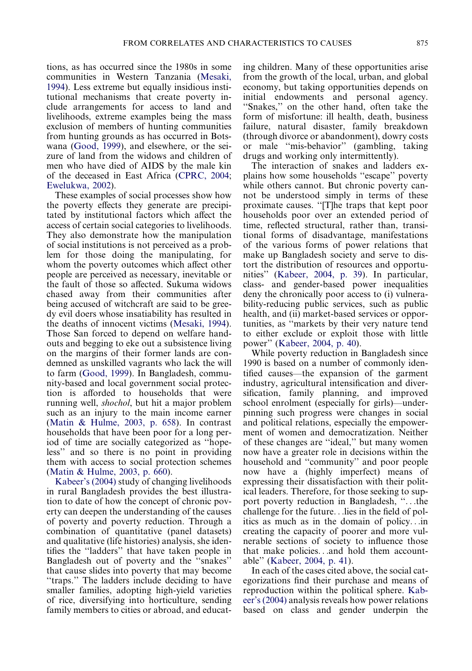tions, as has occurred since the 1980s in some communities in Western Tanzania [\(Mesaki,](#page-12-0) [1994](#page-12-0)). Less extreme but equally insidious institutional mechanisms that create poverty include arrangements for access to land and livelihoods, extreme examples being the mass exclusion of members of hunting communities from hunting grounds as has occurred in Botswana [\(Good, 1999\)](#page-11-0), and elsewhere, or the seizure of land from the widows and children of men who have died of AIDS by the male kin of the deceased in East Africa ([CPRC, 2004;](#page-11-0) [Ewelukwa, 2002\)](#page-11-0).

These examples of social processes show how the poverty effects they generate are precipitated by institutional factors which affect the access of certain social categories to livelihoods. They also demonstrate how the manipulation of social institutions is not perceived as a problem for those doing the manipulating, for whom the poverty outcomes which affect other people are perceived as necessary, inevitable or the fault of those so affected. Sukuma widows chased away from their communities after being accused of witchcraft are said to be greedy evil doers whose insatiability has resulted in the deaths of innocent victims [\(Mesaki, 1994\)](#page-12-0). Those San forced to depend on welfare handouts and begging to eke out a subsistence living on the margins of their former lands are condemned as unskilled vagrants who lack the will to farm [\(Good, 1999](#page-11-0)). In Bangladesh, community-based and local government social protection is afforded to households that were running well, shochol, but hit a major problem such as an injury to the main income earner [\(Matin & Hulme, 2003, p. 658](#page-12-0)). In contrast households that have been poor for a long period of time are socially categorized as ''hopeless'' and so there is no point in providing them with access to social protection schemes [\(Matin & Hulme, 2003, p. 660\)](#page-12-0).

[Kabeer's \(2004\)](#page-11-0) study of changing livelihoods in rural Bangladesh provides the best illustration to date of how the concept of chronic poverty can deepen the understanding of the causes of poverty and poverty reduction. Through a combination of quantitative (panel datasets) and qualitative (life histories) analysis, she identifies the ''ladders'' that have taken people in Bangladesh out of poverty and the ''snakes'' that cause slides into poverty that may become "traps." The ladders include deciding to have smaller families, adopting high-yield varieties of rice, diversifying into horticulture, sending family members to cities or abroad, and educat-

ing children. Many of these opportunities arise from the growth of the local, urban, and global economy, but taking opportunities depends on initial endowments and personal agency. "Snakes," on the other hand, often take the form of misfortune: ill health, death, business failure, natural disaster, family breakdown (through divorce or abandonment), dowry costs or male ''mis-behavior'' (gambling, taking drugs and working only intermittently).

The interaction of snakes and ladders explains how some households ''escape'' poverty while others cannot. But chronic poverty cannot be understood simply in terms of these proximate causes. ''[T]he traps that kept poor households poor over an extended period of time, reflected structural, rather than, transitional forms of disadvantage, manifestations of the various forms of power relations that make up Bangladesh society and serve to distort the distribution of resources and opportunities'' ([Kabeer, 2004, p. 39\)](#page-11-0). In particular, class- and gender-based power inequalities deny the chronically poor access to (i) vulnerability-reducing public services, such as public health, and (ii) market-based services or opportunities, as ''markets by their very nature tend to either exclude or exploit those with little power'' ([Kabeer, 2004, p. 40](#page-11-0)).

While poverty reduction in Bangladesh since 1990 is based on a number of commonly identified causes—the expansion of the garment industry, agricultural intensification and diversification, family planning, and improved school enrolment (especially for girls)—underpinning such progress were changes in social and political relations, especially the empowerment of women and democratization. Neither of these changes are ''ideal,'' but many women now have a greater role in decisions within the household and ''community'' and poor people now have a (highly imperfect) means of expressing their dissatisfaction with their political leaders. Therefore, for those seeking to support poverty reduction in Bangladesh, ''...the challenge for the future...lies in the field of politics as much as in the domain of policy...in creating the capacity of poorer and more vulnerable sections of society to influence those that make policies...and hold them accountable'' [\(Kabeer, 2004, p. 41\)](#page-11-0).

In each of the cases cited above, the social categorizations find their purchase and means of reproduction within the political sphere. [Kab](#page-11-0)[eer's \(2004\)](#page-11-0) analysis reveals how power relations based on class and gender underpin the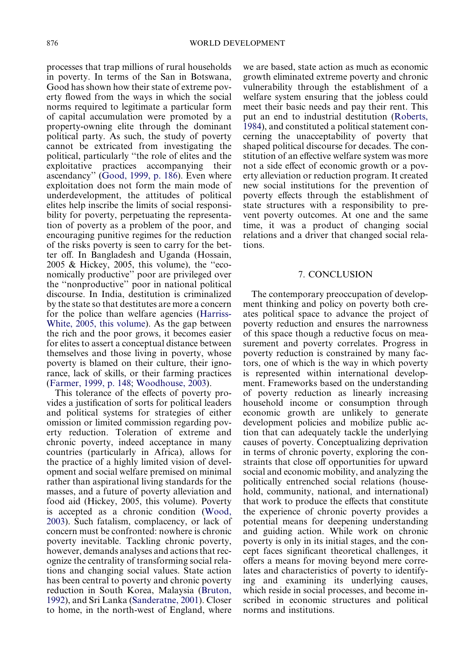processes that trap millions of rural households in poverty. In terms of the San in Botswana, Good has shown how their state of extreme poverty flowed from the ways in which the social norms required to legitimate a particular form of capital accumulation were promoted by a property-owning elite through the dominant political party. As such, the study of poverty cannot be extricated from investigating the political, particularly ''the role of elites and the exploitative practices accompanying their ascendancy'' [\(Good, 1999, p. 186\)](#page-11-0). Even where exploitation does not form the main mode of underdevelopment, the attitudes of political elites help inscribe the limits of social responsibility for poverty, perpetuating the representation of poverty as a problem of the poor, and encouraging punitive regimes for the reduction of the risks poverty is seen to carry for the better off. In Bangladesh and Uganda (Hossain, 2005 & Hickey, 2005, this volume), the ''economically productive'' poor are privileged over the ''nonproductive'' poor in national political discourse. In India, destitution is criminalized by the state so that destitutes are more a concern for the police than welfare agencies ([Harriss-](#page-11-0)[White, 2005, this volume](#page-11-0)). As the gap between the rich and the poor grows, it becomes easier for elites to assert a conceptual distance between themselves and those living in poverty, whose poverty is blamed on their culture, their ignorance, lack of skills, or their farming practices [\(Farmer, 1999, p. 148;](#page-11-0) [Woodhouse, 2003](#page-12-0)).

This tolerance of the effects of poverty provides a justification of sorts for political leaders and political systems for strategies of either omission or limited commission regarding poverty reduction. Toleration of extreme and chronic poverty, indeed acceptance in many countries (particularly in Africa), allows for the practice of a highly limited vision of development and social welfare premised on minimal rather than aspirational living standards for the masses, and a future of poverty alleviation and food aid (Hickey, 2005, this volume). Poverty is accepted as a chronic condition ([Wood,](#page-12-0) [2003](#page-12-0)). Such fatalism, complacency, or lack of concern must be confronted: nowhere is chronic poverty inevitable. Tackling chronic poverty, however, demands analyses and actions that recognize the centrality of transforming social relations and changing social values. State action has been central to poverty and chronic poverty reduction in South Korea, Malaysia [\(Bruton,](#page-11-0) [1992](#page-11-0)), and Sri Lanka ([Sanderatne, 2001\)](#page-12-0). Closer to home, in the north-west of England, where

we are based, state action as much as economic growth eliminated extreme poverty and chronic vulnerability through the establishment of a welfare system ensuring that the jobless could meet their basic needs and pay their rent. This put an end to industrial destitution ([Roberts,](#page-12-0) [1984](#page-12-0)), and constituted a political statement concerning the unacceptability of poverty that shaped political discourse for decades. The constitution of an effective welfare system was more not a side effect of economic growth or a poverty alleviation or reduction program. It created new social institutions for the prevention of poverty effects through the establishment of state structures with a responsibility to prevent poverty outcomes. At one and the same time, it was a product of changing social relations and a driver that changed social relations.

### 7. CONCLUSION

The contemporary preoccupation of development thinking and policy on poverty both creates political space to advance the project of poverty reduction and ensures the narrowness of this space though a reductive focus on measurement and poverty correlates. Progress in poverty reduction is constrained by many factors, one of which is the way in which poverty is represented within international development. Frameworks based on the understanding of poverty reduction as linearly increasing household income or consumption through economic growth are unlikely to generate development policies and mobilize public action that can adequately tackle the underlying causes of poverty. Conceptualizing deprivation in terms of chronic poverty, exploring the constraints that close off opportunities for upward social and economic mobility, and analyzing the politically entrenched social relations (household, community, national, and international) that work to produce the effects that constitute the experience of chronic poverty provides a potential means for deepening understanding and guiding action. While work on chronic poverty is only in its initial stages, and the concept faces significant theoretical challenges, it offers a means for moving beyond mere correlates and characteristics of poverty to identifying and examining its underlying causes, which reside in social processes, and become inscribed in economic structures and political norms and institutions.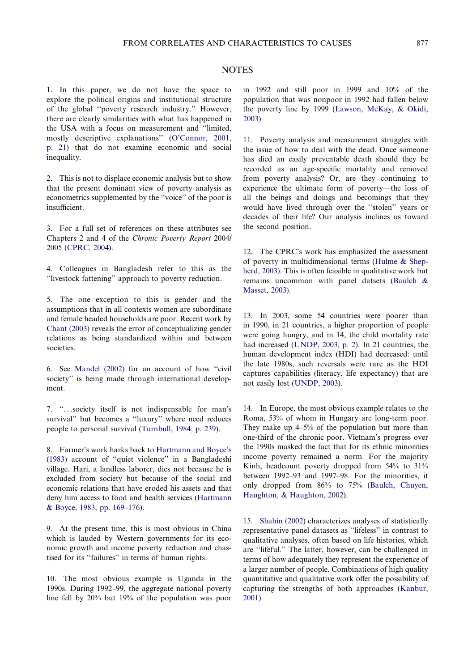#### **NOTES**

1. In this paper, we do not have the space to explore the political origins and institutional structure of the global ''poverty research industry.'' However, there are clearly similarities with what has happened in the USA with a focus on measurement and ''limited, mostly descriptive explanations'' ([O'Connor, 2001,](#page-12-0) [p. 21\)](#page-12-0) that do not examine economic and social inequality.

2. This is not to displace economic analysis but to show that the present dominant view of poverty analysis as econometrics supplemented by the ''voice'' of the poor is insufficient.

3. For a full set of references on these attributes see Chapters 2 and 4 of the Chronic Poverty Report 2004/ 2005 [\(CPRC, 2004](#page-11-0)).

4. Colleagues in Bangladesh refer to this as the ''livestock fattening'' approach to poverty reduction.

5. The one exception to this is gender and the assumptions that in all contexts women are subordinate and female headed households are poor. Recent work by [Chant \(2003\)](#page-11-0) reveals the error of conceptualizing gender relations as being standardized within and between societies.

6. See [Mandel \(2002\)](#page-12-0) for an account of how ''civil society" is being made through international development.

7. ''...society itself is not indispensable for man's survival'' but becomes a ''luxury'' where need reduces people to personal survival [\(Turnbull, 1984, p. 239](#page-12-0)).

8. Farmer's work harks back to [Hartmann and Boyce's](#page-11-0) [\(1983\)](#page-11-0) account of ''quiet violence'' in a Bangladeshi village. Hari, a landless laborer, dies not because he is excluded from society but because of the social and economic relations that have eroded his assets and that deny him access to food and health services ([Hartmann](#page-11-0) [& Boyce, 1983, pp. 169–176\)](#page-11-0).

9. At the present time, this is most obvious in China which is lauded by Western governments for its economic growth and income poverty reduction and chastised for its ''failures'' in terms of human rights.

10. The most obvious example is Uganda in the 1990s. During 1992–99, the aggregate national poverty line fell by 20% but 19% of the population was poor in 1992 and still poor in 1999 and 10% of the population that was nonpoor in 1992 had fallen below the poverty line by 1999 ([Lawson, McKay, & Okidi,](#page-12-0) [2003](#page-12-0)).

11. Poverty analysis and measurement struggles with the issue of how to deal with the dead. Once someone has died an easily preventable death should they be recorded as an age-specific mortality and removed from poverty analysis? Or, are they continuing to experience the ultimate form of poverty—the loss of all the beings and doings and becomings that they would have lived through over the ''stolen'' years or decades of their life? Our analysis inclines us toward the second position.

12. The CPRC's work has emphasized the assessment of poverty in multidimensional terms ([Hulme & Shep](#page-11-0)[herd, 2003\)](#page-11-0). This is often feasible in qualitative work but remains uncommon with panel datsets ([Baulch &](#page-11-0) [Masset, 2003](#page-11-0)).

13. In 2003, some 54 countries were poorer than in 1990, in 21 countries, a higher proportion of people were going hungry, and in 14, the child mortality rate had increased ([UNDP, 2003, p. 2\)](#page-12-0). In 21 countries, the human development index (HDI) had decreased: until the late 1980s, such reversals were rare as the HDI captures capabilities (literacy, life expectancy) that are not easily lost [\(UNDP, 2003\)](#page-12-0).

14. In Europe, the most obvious example relates to the Roma, 53% of whom in Hungary are long-term poor. They make up 4–5% of the population but more than one-third of the chronic poor. Vietnam's progress over the 1990s masked the fact that for its ethnic minorities income poverty remained a norm. For the majority Kinh, headcount poverty dropped from 54% to 31% between 1992–93 and 1997–98. For the minorities, it only dropped from 86% to 75% ([Baulch, Chuyen,](#page-11-0) [Haughton, & Haughton, 2002](#page-11-0)).

15. [Shahin \(2002\)](#page-12-0) characterizes analyses of statistically representative panel datasets as ''lifeless'' in contrast to qualitative analyses, often based on life histories, which are ''lifeful.'' The latter, however, can be challenged in terms of how adequately they represent the experience of a larger number of people. Combinations of high quality quantitative and qualitative work offer the possibility of capturing the strengths of both approaches ([Kanbur,](#page-12-0) [2001](#page-12-0)).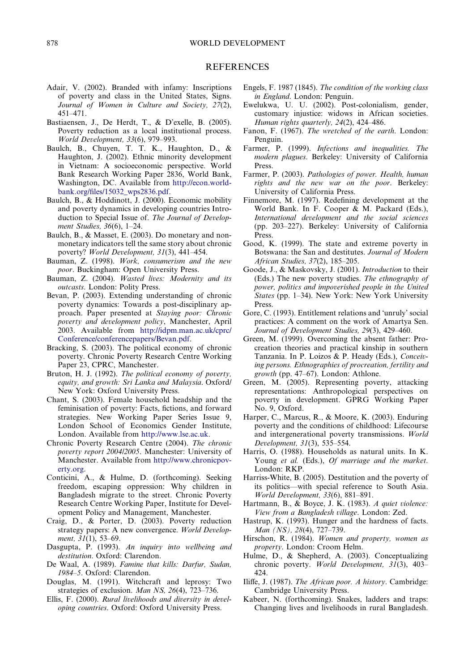- <span id="page-11-0"></span>Adair, V. (2002). Branded with infamy: Inscriptions of poverty and class in the United States, Signs. Journal of Women in Culture and Society, 27(2), 451–471.
- Bastiaensen, J., De Herdt, T., & D'exelle, B. (2005). Poverty reduction as a local institutional process. World Development, 33(6), 979–993.
- Baulch, B., Chuyen, T. T. K., Haughton, D., & Haughton, J. (2002). Ethnic minority development in Vietnam: A socioeconomic perspective. World Bank Research Working Paper 2836, World Bank, Washington, DC. Available from [http://econ.world](http://econ.worldbank.org/files/15032_wps2836.pdf)[bank.org/files/15032\\_wps2836.pdf.](http://econ.worldbank.org/files/15032_wps2836.pdf)
- Baulch, B., & Hoddinott, J. (2000). Economic mobility and poverty dynamics in developing countries Introduction to Special Issue of. The Journal of Development Studies, 36(6), 1–24.
- Baulch, B., & Masset, E. (2003). Do monetary and nonmonetary indicators tell the same story about chronic poverty? World Development, 31(3), 441–454.
- Bauman, Z. (1998). Work, consumerism and the new poor. Buckingham: Open University Press.
- Bauman, Z. (2004). Wasted lives: Modernity and its outcasts. London: Polity Press.
- Bevan, P. (2003). Extending understanding of chronic poverty dynamics: Towards a post-disciplinary approach. Paper presented at Staying poor: Chronic poverty and development policy, Manchester, April 2003. Available from [http://idpm.man.ac.uk/cprc/](http://idpm.man.ac.uk/cprc/Conference/conferencepapers/Bevan.pdf) [Conference/conferencepapers/Bevan.pdf](http://idpm.man.ac.uk/cprc/Conference/conferencepapers/Bevan.pdf).
- Bracking, S. (2003). The political economy of chronic poverty. Chronic Poverty Research Centre Working Paper 23, CPRC, Manchester.
- Bruton, H. J. (1992). The political economy of poverty, equity, and growth: Sri Lanka and Malaysia. Oxford/ New York: Oxford University Press.
- Chant, S. (2003). Female household headship and the feminisation of poverty: Facts, fictions, and forward strategies. New Working Paper Series Issue 9, London School of Economics Gender Institute, London. Available from <http://www.lse.ac.uk>.
- Chronic Poverty Research Centre (2004). The chronic poverty report 2004/2005. Manchester: University of Manchester. Available from [http://www.chronicpov](http://www.chronicpoverty.org)[erty.org.](http://www.chronicpoverty.org)
- Conticini, A., & Hulme, D. (forthcoming). Seeking freedom, escaping oppression: Why children in Bangladesh migrate to the street. Chronic Poverty Research Centre Working Paper, Institute for Development Policy and Management, Manchester.
- Craig, D., & Porter, D. (2003). Poverty reduction strategy papers: A new convergence. World Development, 31(1), 53–69.
- Dasgupta, P. (1993). An inquiry into wellbeing and destitution. Oxford: Clarendon.
- De Waal, A. (1989). Famine that kills: Darfur, Sudan, 1984–5. Oxford: Clarendon.
- Douglas, M. (1991). Witchcraft and leprosy: Two strategies of exclusion. Man NS, 26(4), 723–736.
- Ellis, F. (2000). Rural livelihoods and diversity in developing countries. Oxford: Oxford University Press.
- Engels, F. 1987 (1845). The condition of the working class in England. London: Penguin.
- Ewelukwa, U. U. (2002). Post-colonialism, gender, customary injustice: widows in African societies. Human rights quarterly, 24(2), 424–486.
- Fanon, F. (1967). The wretched of the earth. London: Penguin.
- Farmer, P. (1999). Infections and inequalities. The modern plagues. Berkeley: University of California Press.
- Farmer, P. (2003). Pathologies of power. Health, human rights and the new war on the poor. Berkeley: University of California Press.
- Finnemore, M. (1997). Redefining development at the World Bank. In F. Cooper & M. Packard (Eds.), International development and the social sciences (pp. 203–227). Berkeley: University of California Press.
- Good, K. (1999). The state and extreme poverty in Botswana: the San and destitutes. Journal of Modern African Studies, 37(2), 185–205.
- Goode, J., & Maskovsky, J. (2001). Introduction to their (Eds.) The new poverty studies. The ethnography of power, politics and impoverished people in the United States (pp. 1–34). New York: New York University Press.
- Gore, C. (1993). Entitlement relations and 'unruly' social practices: A comment on the work of Amartya Sen. Journal of Development Studies, 29(3), 429–460.
- Green, M. (1999). Overcoming the absent father: Procreation theories and practical kinship in southern Tanzania. In P. Loizos & P. Heady (Eds.), Conceiving persons. Ethnographies of procreation, fertility and growth (pp. 47–67). London: Athlone.
- Green, M. (2005). Representing poverty, attacking representations: Anthropological perspectives on poverty in development. GPRG Working Paper No. 9, Oxford.
- Harper, C., Marcus, R., & Moore, K. (2003). Enduring poverty and the conditions of childhood: Lifecourse and intergenerational poverty transmissions. World Development, 31(3), 535–554.
- Harris, O. (1988). Households as natural units. In K. Young et al. (Eds.), Of marriage and the market. London: RKP.
- Harriss-White, B. (2005). Destitution and the poverty of its politics—with special reference to South Asia. World Development, 33(6), 881–891.
- Hartmann, B., & Boyce, J. K. (1983). A quiet violence: View from a Bangladesh village. London: Zed.
- Hastrup, K. (1993). Hunger and the hardness of facts. Man (NS), 28(4), 727-739.
- Hirschon, R. (1984). Women and property, women as property. London: Croom Helm.
- Hulme, D., & Shepherd, A. (2003). Conceptualizing chronic poverty. World Development, 31(3), 403– 424.
- Iliffe, J. (1987). The African poor. A history. Cambridge: Cambridge University Press.
- Kabeer, N. (forthcoming). Snakes, ladders and traps: Changing lives and livelihoods in rural Bangladesh.